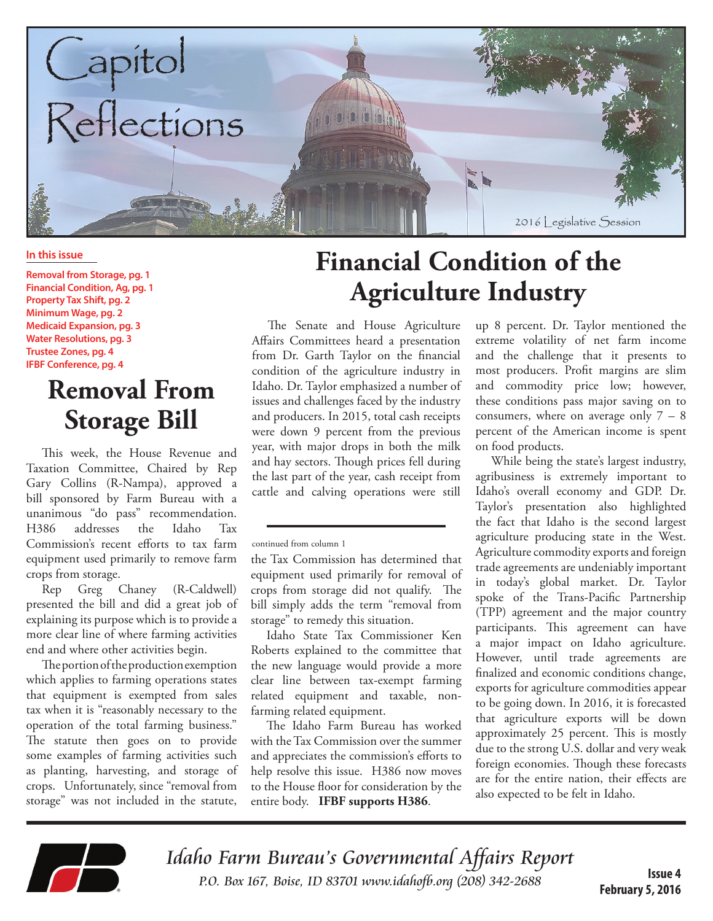

#### **In this issue**

**Removal from Storage, pg. 1 Financial Condition, Ag, pg. 1 Property Tax Shift, pg. 2 Minimum Wage, pg. 2 Medicaid Expansion, pg. 3 Water Resolutions, pg. 3 Trustee Zones, pg. 4 IFBF Conference, pg. 4**

### **Removal From Storage Bill**

This week, the House Revenue and Taxation Committee, Chaired by Rep Gary Collins (R-Nampa), approved a bill sponsored by Farm Bureau with a unanimous "do pass" recommendation. H386 addresses the Idaho Tax Commission's recent efforts to tax farm equipment used primarily to remove farm crops from storage.

Rep Greg Chaney (R-Caldwell) presented the bill and did a great job of explaining its purpose which is to provide a more clear line of where farming activities end and where other activities begin.

The portion of the production exemption which applies to farming operations states that equipment is exempted from sales tax when it is "reasonably necessary to the operation of the total farming business." The statute then goes on to provide some examples of farming activities such as planting, harvesting, and storage of crops. Unfortunately, since "removal from storage" was not included in the statute,

# **Financial Condition of the Agriculture Industry**

The Senate and House Agriculture Affairs Committees heard a presentation from Dr. Garth Taylor on the financial condition of the agriculture industry in Idaho. Dr. Taylor emphasized a number of issues and challenges faced by the industry and producers. In 2015, total cash receipts were down 9 percent from the previous year, with major drops in both the milk and hay sectors. Though prices fell during the last part of the year, cash receipt from cattle and calving operations were still

continued from column 1

the Tax Commission has determined that equipment used primarily for removal of crops from storage did not qualify. The bill simply adds the term "removal from storage" to remedy this situation.

Idaho State Tax Commissioner Ken Roberts explained to the committee that the new language would provide a more clear line between tax-exempt farming related equipment and taxable, nonfarming related equipment.

The Idaho Farm Bureau has worked with the Tax Commission over the summer and appreciates the commission's efforts to help resolve this issue. H386 now moves to the House floor for consideration by the entire body. **IFBF supports H386**.

up 8 percent. Dr. Taylor mentioned the extreme volatility of net farm income and the challenge that it presents to most producers. Profit margins are slim and commodity price low; however, these conditions pass major saving on to consumers, where on average only 7 – 8 percent of the American income is spent on food products.

While being the state's largest industry, agribusiness is extremely important to Idaho's overall economy and GDP. Dr. Taylor's presentation also highlighted the fact that Idaho is the second largest agriculture producing state in the West. Agriculture commodity exports and foreign trade agreements are undeniably important in today's global market. Dr. Taylor spoke of the Trans-Pacific Partnership (TPP) agreement and the major country participants. This agreement can have a major impact on Idaho agriculture. However, until trade agreements are finalized and economic conditions change, exports for agriculture commodities appear to be going down. In 2016, it is forecasted that agriculture exports will be down approximately 25 percent. This is mostly due to the strong U.S. dollar and very weak foreign economies. Though these forecasts are for the entire nation, their effects are also expected to be felt in Idaho.



Idaho Farm Bureau's Governmental Affairs Report P.O. Box 167, Boise, ID 83701 www.idahofb.org (208) 342-2688

**Issue 4 February 5, 2016**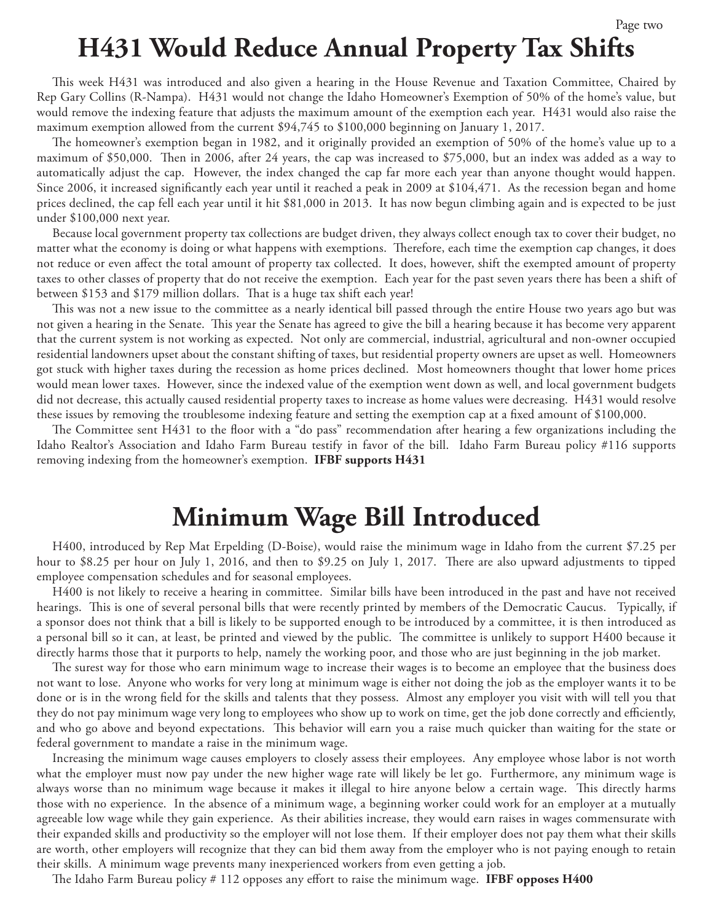## **H431 Would Reduce Annual Property Tax Shifts**

This week H431 was introduced and also given a hearing in the House Revenue and Taxation Committee, Chaired by Rep Gary Collins (R-Nampa). H431 would not change the Idaho Homeowner's Exemption of 50% of the home's value, but would remove the indexing feature that adjusts the maximum amount of the exemption each year. H431 would also raise the maximum exemption allowed from the current \$94,745 to \$100,000 beginning on January 1, 2017.

The homeowner's exemption began in 1982, and it originally provided an exemption of 50% of the home's value up to a maximum of \$50,000. Then in 2006, after 24 years, the cap was increased to \$75,000, but an index was added as a way to automatically adjust the cap. However, the index changed the cap far more each year than anyone thought would happen. Since 2006, it increased significantly each year until it reached a peak in 2009 at \$104,471. As the recession began and home prices declined, the cap fell each year until it hit \$81,000 in 2013. It has now begun climbing again and is expected to be just under \$100,000 next year.

Because local government property tax collections are budget driven, they always collect enough tax to cover their budget, no matter what the economy is doing or what happens with exemptions. Therefore, each time the exemption cap changes, it does not reduce or even affect the total amount of property tax collected. It does, however, shift the exempted amount of property taxes to other classes of property that do not receive the exemption. Each year for the past seven years there has been a shift of between \$153 and \$179 million dollars. That is a huge tax shift each year!

This was not a new issue to the committee as a nearly identical bill passed through the entire House two years ago but was not given a hearing in the Senate. This year the Senate has agreed to give the bill a hearing because it has become very apparent that the current system is not working as expected. Not only are commercial, industrial, agricultural and non-owner occupied residential landowners upset about the constant shifting of taxes, but residential property owners are upset as well. Homeowners got stuck with higher taxes during the recession as home prices declined. Most homeowners thought that lower home prices would mean lower taxes. However, since the indexed value of the exemption went down as well, and local government budgets did not decrease, this actually caused residential property taxes to increase as home values were decreasing. H431 would resolve these issues by removing the troublesome indexing feature and setting the exemption cap at a fixed amount of \$100,000.

The Committee sent H431 to the floor with a "do pass" recommendation after hearing a few organizations including the Idaho Realtor's Association and Idaho Farm Bureau testify in favor of the bill. Idaho Farm Bureau policy #116 supports removing indexing from the homeowner's exemption. **IFBF supports H431**

#### **Minimum Wage Bill Introduced**

H400, introduced by Rep Mat Erpelding (D-Boise), would raise the minimum wage in Idaho from the current \$7.25 per hour to \$8.25 per hour on July 1, 2016, and then to \$9.25 on July 1, 2017. There are also upward adjustments to tipped employee compensation schedules and for seasonal employees.

H400 is not likely to receive a hearing in committee. Similar bills have been introduced in the past and have not received hearings. This is one of several personal bills that were recently printed by members of the Democratic Caucus. Typically, if a sponsor does not think that a bill is likely to be supported enough to be introduced by a committee, it is then introduced as a personal bill so it can, at least, be printed and viewed by the public. The committee is unlikely to support H400 because it directly harms those that it purports to help, namely the working poor, and those who are just beginning in the job market.

The surest way for those who earn minimum wage to increase their wages is to become an employee that the business does not want to lose. Anyone who works for very long at minimum wage is either not doing the job as the employer wants it to be done or is in the wrong field for the skills and talents that they possess. Almost any employer you visit with will tell you that they do not pay minimum wage very long to employees who show up to work on time, get the job done correctly and efficiently, and who go above and beyond expectations. This behavior will earn you a raise much quicker than waiting for the state or federal government to mandate a raise in the minimum wage.

Increasing the minimum wage causes employers to closely assess their employees. Any employee whose labor is not worth what the employer must now pay under the new higher wage rate will likely be let go. Furthermore, any minimum wage is always worse than no minimum wage because it makes it illegal to hire anyone below a certain wage. This directly harms those with no experience. In the absence of a minimum wage, a beginning worker could work for an employer at a mutually agreeable low wage while they gain experience. As their abilities increase, they would earn raises in wages commensurate with their expanded skills and productivity so the employer will not lose them. If their employer does not pay them what their skills are worth, other employers will recognize that they can bid them away from the employer who is not paying enough to retain their skills. A minimum wage prevents many inexperienced workers from even getting a job.

The Idaho Farm Bureau policy # 112 opposes any effort to raise the minimum wage. **IFBF opposes H400**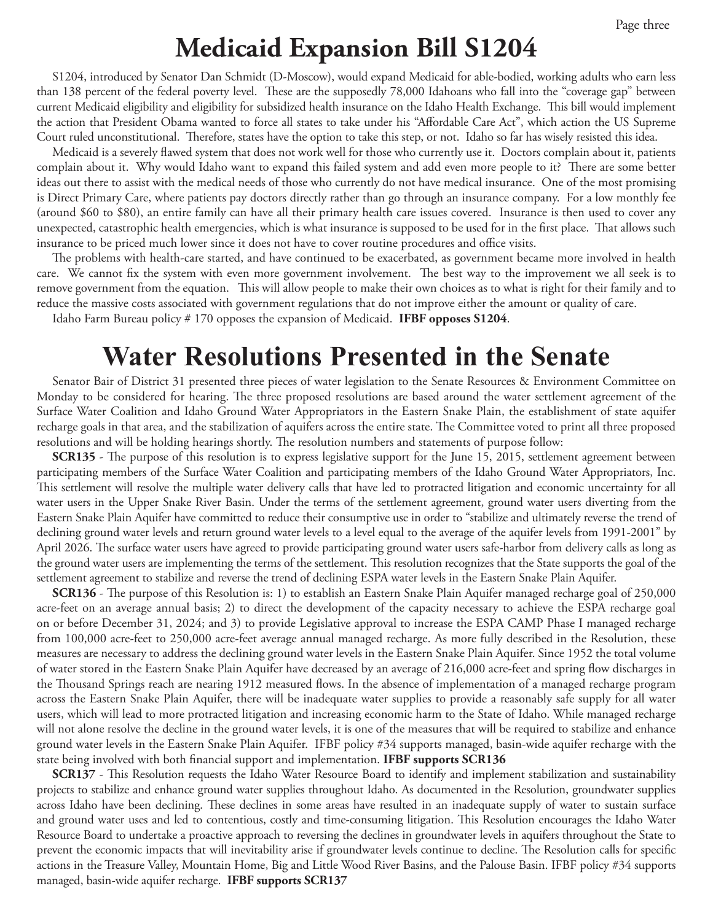#### **Medicaid Expansion Bill S1204**

S1204, introduced by Senator Dan Schmidt (D-Moscow), would expand Medicaid for able-bodied, working adults who earn less than 138 percent of the federal poverty level. These are the supposedly 78,000 Idahoans who fall into the "coverage gap" between current Medicaid eligibility and eligibility for subsidized health insurance on the Idaho Health Exchange. This bill would implement the action that President Obama wanted to force all states to take under his "Affordable Care Act", which action the US Supreme Court ruled unconstitutional. Therefore, states have the option to take this step, or not. Idaho so far has wisely resisted this idea.

Medicaid is a severely flawed system that does not work well for those who currently use it. Doctors complain about it, patients complain about it. Why would Idaho want to expand this failed system and add even more people to it? There are some better ideas out there to assist with the medical needs of those who currently do not have medical insurance. One of the most promising is Direct Primary Care, where patients pay doctors directly rather than go through an insurance company. For a low monthly fee (around \$60 to \$80), an entire family can have all their primary health care issues covered. Insurance is then used to cover any unexpected, catastrophic health emergencies, which is what insurance is supposed to be used for in the first place. That allows such insurance to be priced much lower since it does not have to cover routine procedures and office visits.

The problems with health-care started, and have continued to be exacerbated, as government became more involved in health care. We cannot fix the system with even more government involvement. The best way to the improvement we all seek is to remove government from the equation. This will allow people to make their own choices as to what is right for their family and to reduce the massive costs associated with government regulations that do not improve either the amount or quality of care.

Idaho Farm Bureau policy # 170 opposes the expansion of Medicaid. **IFBF opposes S1204**.

#### **Water Resolutions Presented in the Senate**

Senator Bair of District 31 presented three pieces of water legislation to the Senate Resources & Environment Committee on Monday to be considered for hearing. The three proposed resolutions are based around the water settlement agreement of the Surface Water Coalition and Idaho Ground Water Appropriators in the Eastern Snake Plain, the establishment of state aquifer recharge goals in that area, and the stabilization of aquifers across the entire state. The Committee voted to print all three proposed resolutions and will be holding hearings shortly. The resolution numbers and statements of purpose follow:

**SCR135** - The purpose of this resolution is to express legislative support for the June 15, 2015, settlement agreement between participating members of the Surface Water Coalition and participating members of the Idaho Ground Water Appropriators, Inc. This settlement will resolve the multiple water delivery calls that have led to protracted litigation and economic uncertainty for all water users in the Upper Snake River Basin. Under the terms of the settlement agreement, ground water users diverting from the Eastern Snake Plain Aquifer have committed to reduce their consumptive use in order to "stabilize and ultimately reverse the trend of declining ground water levels and return ground water levels to a level equal to the average of the aquifer levels from 1991-2001" by April 2026. The surface water users have agreed to provide participating ground water users safe-harbor from delivery calls as long as the ground water users are implementing the terms of the settlement. This resolution recognizes that the State supports the goal of the settlement agreement to stabilize and reverse the trend of declining ESPA water levels in the Eastern Snake Plain Aquifer.

**SCR136** - The purpose of this Resolution is: 1) to establish an Eastern Snake Plain Aquifer managed recharge goal of 250,000 acre-feet on an average annual basis; 2) to direct the development of the capacity necessary to achieve the ESPA recharge goal on or before December 31, 2024; and 3) to provide Legislative approval to increase the ESPA CAMP Phase I managed recharge from 100,000 acre-feet to 250,000 acre-feet average annual managed recharge. As more fully described in the Resolution, these measures are necessary to address the declining ground water levels in the Eastern Snake Plain Aquifer. Since 1952 the total volume of water stored in the Eastern Snake Plain Aquifer have decreased by an average of 216,000 acre-feet and spring flow discharges in the Thousand Springs reach are nearing 1912 measured flows. In the absence of implementation of a managed recharge program across the Eastern Snake Plain Aquifer, there will be inadequate water supplies to provide a reasonably safe supply for all water users, which will lead to more protracted litigation and increasing economic harm to the State of Idaho. While managed recharge will not alone resolve the decline in the ground water levels, it is one of the measures that will be required to stabilize and enhance ground water levels in the Eastern Snake Plain Aquifer. IFBF policy #34 supports managed, basin-wide aquifer recharge with the state being involved with both financial support and implementation. **IFBF supports SCR136**

**SCR137** - This Resolution requests the Idaho Water Resource Board to identify and implement stabilization and sustainability projects to stabilize and enhance ground water supplies throughout Idaho. As documented in the Resolution, groundwater supplies across Idaho have been declining. These declines in some areas have resulted in an inadequate supply of water to sustain surface and ground water uses and led to contentious, costly and time-consuming litigation. This Resolution encourages the Idaho Water Resource Board to undertake a proactive approach to reversing the declines in groundwater levels in aquifers throughout the State to prevent the economic impacts that will inevitability arise if groundwater levels continue to decline. The Resolution calls for specific actions in the Treasure Valley, Mountain Home, Big and Little Wood River Basins, and the Palouse Basin. IFBF policy #34 supports managed, basin-wide aquifer recharge. **IFBF supports SCR137**